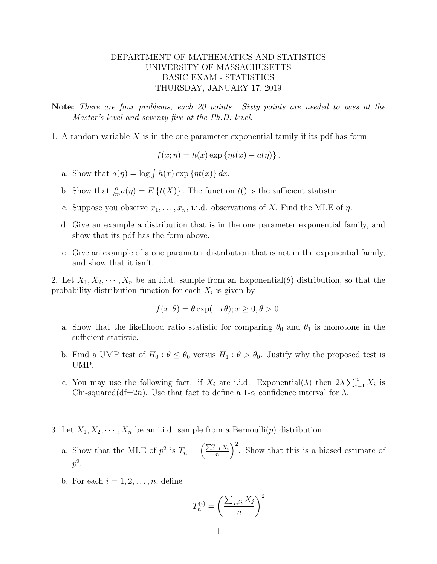## DEPARTMENT OF MATHEMATICS AND STATISTICS UNIVERSITY OF MASSACHUSETTS BASIC EXAM - STATISTICS THURSDAY, JANUARY 17, 2019

Note: There are four problems, each 20 points. Sixty points are needed to pass at the Master's level and seventy-five at the Ph.D. level.

1. A random variable  $X$  is in the one parameter exponential family if its pdf has form

$$
f(x; \eta) = h(x) \exp \{ \eta t(x) - a(\eta) \}.
$$

- a. Show that  $a(\eta) = \log \int h(x) \exp \{ \eta t(x) \} dx$ .
- b. Show that  $\frac{\partial}{\partial \eta}a(\eta) = E\left\{t(X)\right\}$ . The function  $t()$  is the sufficient statistic.
- c. Suppose you observe  $x_1, \ldots, x_n$ , i.i.d. observations of X. Find the MLE of  $\eta$ .
- d. Give an example a distribution that is in the one parameter exponential family, and show that its pdf has the form above.
- e. Give an example of a one parameter distribution that is not in the exponential family, and show that it isn't.

2. Let  $X_1, X_2, \dots, X_n$  be an i.i.d. sample from an Exponential( $\theta$ ) distribution, so that the probability distribution function for each  $X_i$  is given by

$$
f(x; \theta) = \theta \exp(-x\theta); x \ge 0, \theta > 0.
$$

- a. Show that the likelihood ratio statistic for comparing  $\theta_0$  and  $\theta_1$  is monotone in the sufficient statistic.
- b. Find a UMP test of  $H_0: \theta \leq \theta_0$  versus  $H_1: \theta > \theta_0$ . Justify why the proposed test is UMP.
- c. You may use the following fact: if  $X_i$  are i.i.d. Exponential( $\lambda$ ) then  $2\lambda \sum_{i=1}^n X_i$  is Chi-squared(df=2n). Use that fact to define a 1- $\alpha$  confidence interval for  $\lambda$ .
- 3. Let  $X_1, X_2, \dots, X_n$  be an i.i.d. sample from a Bernoulli $(p)$  distribution.
	- a. Show that the MLE of  $p^2$  is  $T_n = \left(\frac{\sum_{i=1}^n X_i}{n}\right)$  $\left(\frac{z_1 X_i}{n}\right)^2$ . Show that this is a biased estimate of  $p^2.$
	- b. For each  $i = 1, 2, \ldots, n$ , define

$$
T_n^{(i)} = \left(\frac{\sum_{j\neq i} X_j}{n}\right)^2
$$